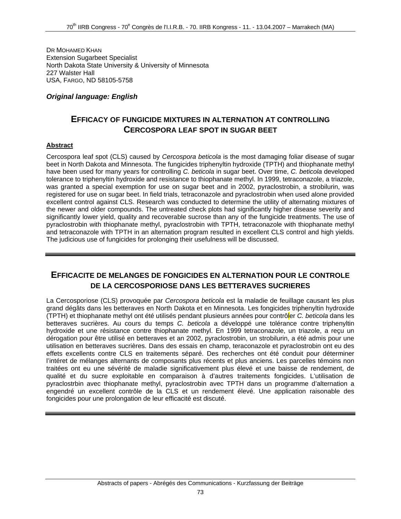DR MOHAMED KHAN Extension Sugarbeet Specialist North Dakota State University & University of Minnesota 227 Walster Hall USA, FARGO, ND 58105-5758

#### *Original language: English*

### **EFFICACY OF FUNGICIDE MIXTURES IN ALTERNATION AT CONTROLLING CERCOSPORA LEAF SPOT IN SUGAR BEET**

#### **Abstract**

Cercospora leaf spot (CLS) caused by *Cercospora beticola* is the most damaging foliar disease of sugar beet in North Dakota and Minnesota. The fungicides triphenyltin hydroxide (TPTH) and thiophanate methyl have been used for many years for controlling *C. beticola* in sugar beet. Over time, *C. beticola* developed tolerance to triphenyltin hydroxide and resistance to thiophanate methyl. In 1999, tetraconazole, a triazole, was granted a special exemption for use on sugar beet and in 2002, pyraclostrobin, a strobilurin, was registered for use on sugar beet. In field trials, tetraconazole and pyraclostrobin when used alone provided excellent control against CLS. Research was conducted to determine the utility of alternating mixtures of the newer and older compounds. The untreated check plots had significantly higher disease severity and significantly lower yield, quality and recoverable sucrose than any of the fungicide treatments. The use of pyraclostrobin with thiophanate methyl, pyraclostrobin with TPTH, tetraconazole with thiophanate methyl and tetraconazole with TPTH in an alternation program resulted in excellent CLS control and high yields. The judicious use of fungicides for prolonging their usefulness will be discussed.

## **EFFICACITE DE MELANGES DE FONGICIDES EN ALTERNATION POUR LE CONTROLE DE LA CERCOSPORIOSE DANS LES BETTERAVES SUCRIERES**

La Cercosporiose (CLS) provoquée par *Cercospora beticola* est la maladie de feuillage causant les plus grand dégâts dans les betteraves en North Dakota et en Minnesota. Les fongicides triphenyltin hydroxide (TPTH) et thiophanate methyl ont été utilisés pendant plusieurs années pour contrôler *C. beticola* dans les betteraves sucrières. Au cours du temps *C. beticola* a développé une tolérance contre triphenyltin hydroxide et une résistance contre thiophanate methyl. En 1999 tetraconazole, un triazole, a reçu un dérogation pour être utilisé en betteraves et an 2002, pyraclostrobin, un strobilurin, a été admis pour une utilisation en betteraves sucrières. Dans des essais en champ, teraconazole et pyraclostrobin ont eu des effets excellents contre CLS en traitements séparé. Des recherches ont été conduit pour déterminer l'intéret de mélanges alternants de composants plus récents et plus anciens. Les parcelles témoins non traitées ont eu une sévérité de maladie significativement plus élevé et une baisse de rendement, de qualité et du sucre exploitable en comparaison à d'autres traitements fongicides. L'utilisation de pyraclostrbin avec thiophanate methyl, pyraclostrobin avec TPTH dans un programme d'alternation a engendré un excellent contrôle de la CLS et un rendement élevé. Une application raisonable des fongicides pour une prolongation de leur efficacité est discuté.